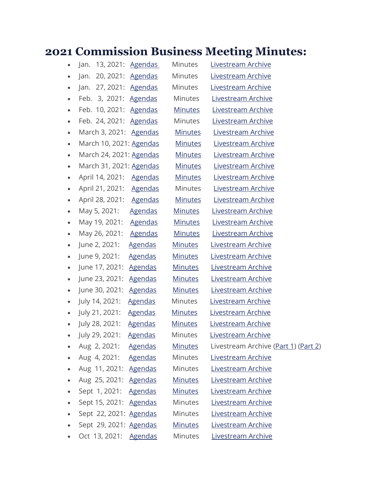## **2021 Commission Business Meeting Minutes:**

|           | Jan. 13, 2021: Agendas  |                | <b>Minutes</b> | Livestream Archive                   |
|-----------|-------------------------|----------------|----------------|--------------------------------------|
| $\bullet$ | Jan. 20, 2021: Agendas  |                | Minutes        | Livestream Archive                   |
|           | Jan. 27, 2021: Agendas  |                | Minutes        | Livestream Archive                   |
| $\bullet$ | Feb. 3, 2021: Agendas   |                | <b>Minutes</b> | <b>Livestream Archive</b>            |
| $\bullet$ | Feb. 10, 2021: Agendas  |                | <b>Minutes</b> | Livestream Archive                   |
| $\bullet$ | Feb. 24, 2021: Agendas  |                | Minutes        | Livestream Archive                   |
| $\bullet$ | March 3, 2021: Agendas  |                | <b>Minutes</b> | Livestream Archive                   |
| $\bullet$ | March 10, 2021: Agendas |                | <u>Minutes</u> | Livestream Archive                   |
| $\bullet$ | March 24, 2021: Agendas |                | <u>Minutes</u> | Livestream Archive                   |
| $\bullet$ | March 31, 2021: Agendas |                | <u>Minutes</u> | Livestream Archive                   |
| ٠         | April 14, 2021: Agendas |                | <u>Minutes</u> | Livestream Archive                   |
| $\bullet$ | April 21, 2021: Agendas |                | Minutes        | Livestream Archive                   |
| ٠         | April 28, 2021: Agendas |                | <b>Minutes</b> | Livestream Archive                   |
| $\bullet$ | May 5, 2021:            | <b>Agendas</b> | <b>Minutes</b> | Livestream Archive                   |
| $\bullet$ | May 19, 2021: Agendas   |                | <b>Minutes</b> | Livestream Archive                   |
| $\bullet$ | May 26, 2021: Agendas   |                | <u>Minutes</u> | Livestream Archive                   |
| $\bullet$ | June 2, 2021:           | <b>Agendas</b> | <u>Minutes</u> | Livestream Archive                   |
| $\bullet$ | June 9, 2021:           | <b>Agendas</b> | <b>Minutes</b> | Livestream Archive                   |
| $\bullet$ | June 17, 2021:          | <b>Agendas</b> | <b>Minutes</b> | Livestream Archive                   |
| $\bullet$ | June 23, 2021:          | <b>Agendas</b> | <b>Minutes</b> | Livestream Archive                   |
| $\bullet$ | June 30, 2021:          | <b>Agendas</b> | <b>Minutes</b> | Livestream Archive                   |
| $\bullet$ | July 14, 2021:          | <u>Agendas</u> | <b>Minutes</b> | Livestream Archive                   |
| $\bullet$ | July 21, 2021:          | <b>Agendas</b> | <b>Minutes</b> | Livestream Archive                   |
| $\bullet$ | July 28, 2021:          | <u>Agendas</u> | <b>Minutes</b> | Livestream Archive                   |
|           | July 29, 2021:          | <b>Agendas</b> | <b>Minutes</b> | Livestream Archive                   |
|           | Aug 2, 2021:            | <b>Agendas</b> | <b>Minutes</b> | Livestream Archive (Part 1) (Part 2) |
|           | Aug 4, 2021:            | <b>Agendas</b> | <b>Minutes</b> | Livestream Archive                   |
|           | Aug 11, 2021: Agendas   |                | <b>Minutes</b> | Livestream Archive                   |
|           | Aug 25, 2021: Agendas   |                | <b>Minutes</b> | Livestream Archive                   |
|           | Sept 1, 2021:           | <b>Agendas</b> | <b>Minutes</b> | Livestream Archive                   |
| ٠         | Sept 15, 2021: Agendas  |                | <b>Minutes</b> | Livestream Archive                   |
|           | Sept 22, 2021: Agendas  |                | <b>Minutes</b> | Livestream Archive                   |
|           | Sept 29, 2021: Agendas  |                | <b>Minutes</b> | Livestream Archive                   |
|           | Oct 13, 2021: Agendas   |                | Minutes        | Livestream Archive                   |